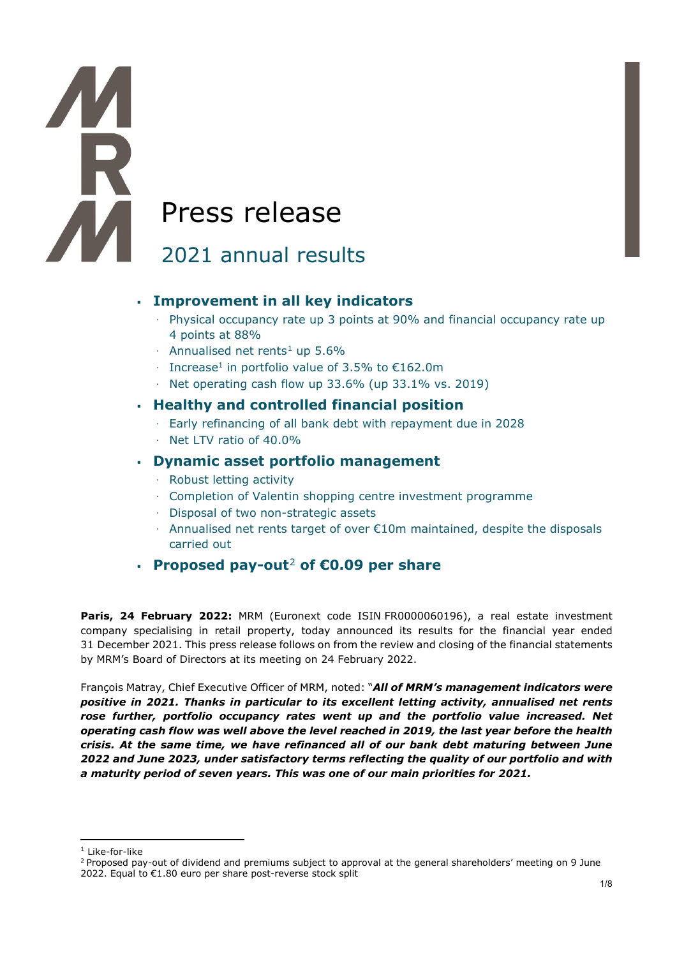# **AM** Press release

# 2021 annual results

# **Improvement in all key indicators**

- · Physical occupancy rate up 3 points at 90% and financial occupancy rate up 4 points at 88%
- $\cdot$  Annualised net rents<sup>[1](#page-0-0)</sup> up 5.6%
- · Increase1 in portfolio value of 3.5% to €162.0m
- · Net operating cash flow up 33.6% (up 33.1% vs. 2019)

# **Healthy and controlled financial position**

- · Early refinancing of all bank debt with repayment due in 2028
- · Net LTV ratio of 40.0%

# **Dynamic asset portfolio management**

- · Robust letting activity
- · Completion of Valentin shopping centre investment programme
- · Disposal of two non-strategic assets
- $\cdot$  Annualised net rents target of over  $\epsilon$ 10m maintained, despite the disposals carried out

# **Proposed pay-out**[2](#page-0-1) **of €0.09 per share**

Paris, 24 February 2022: MRM (Euronext code ISIN FR0000060196), a real estate investment company specialising in retail property, today announced its results for the financial year ended 31 December 2021. This press release follows on from the review and closing of the financial statements by MRM's Board of Directors at its meeting on 24 February 2022.

François Matray, Chief Executive Officer of MRM, noted: "*All of MRM's management indicators were positive in 2021. Thanks in particular to its excellent letting activity, annualised net rents rose further, portfolio occupancy rates went up and the portfolio value increased. Net operating cash flow was well above the level reached in 2019, the last year before the health crisis. At the same time, we have refinanced all of our bank debt maturing between June 2022 and June 2023, under satisfactory terms reflecting the quality of our portfolio and with a maturity period of seven years. This was one of our main priorities for 2021.*

H

<sup>&</sup>lt;sup>1</sup> Like-for-like

<span id="page-0-1"></span><span id="page-0-0"></span><sup>&</sup>lt;sup>2</sup> Proposed pay-out of dividend and premiums subject to approval at the general shareholders' meeting on 9 June 2022. Equal to €1.80 euro per share post-reverse stock split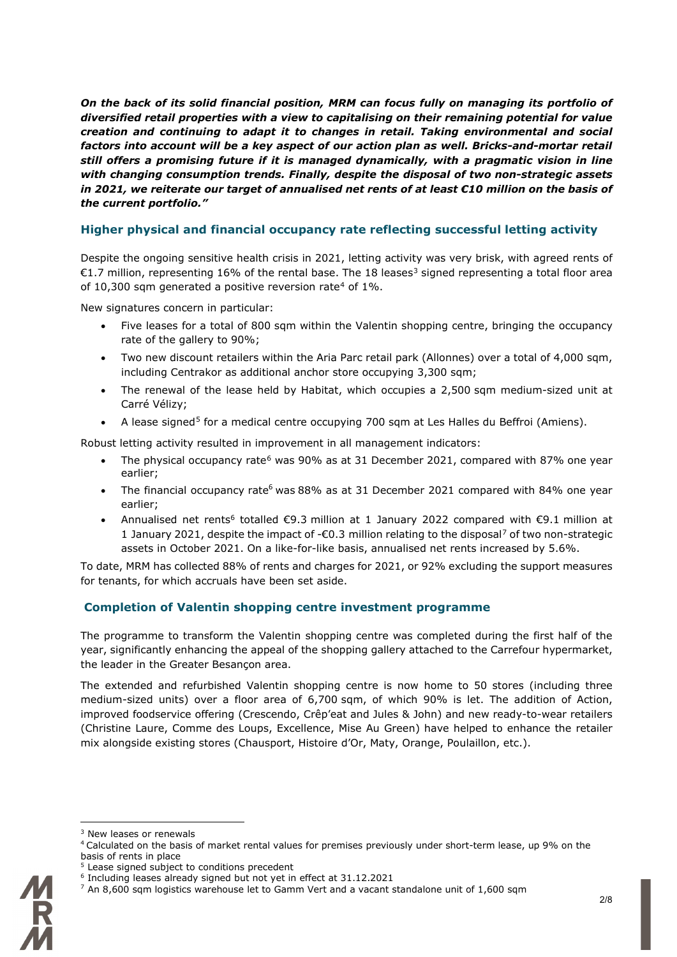*On the back of its solid financial position, MRM can focus fully on managing its portfolio of diversified retail properties with a view to capitalising on their remaining potential for value creation and continuing to adapt it to changes in retail. Taking environmental and social factors into account will be a key aspect of our action plan as well. Bricks-and-mortar retail still offers a promising future if it is managed dynamically, with a pragmatic vision in line with changing consumption trends. Finally, despite the disposal of two non-strategic assets in 2021, we reiterate our target of annualised net rents of at least €10 million on the basis of the current portfolio."* 

# **Higher physical and financial occupancy rate reflecting successful letting activity**

Despite the ongoing sensitive health crisis in 2021, letting activity was very brisk, with agreed rents of €1.7 million, representing 16% of the rental base. The 18 leases<sup>[3](#page-1-0)</sup> signed representing a total floor area of 10,300 sqm generated a positive reversion rate<sup>4</sup> of  $1\%$ .

New signatures concern in particular:

- Five leases for a total of 800 sqm within the Valentin shopping centre, bringing the occupancy rate of the gallery to 90%;
- Two new discount retailers within the Aria Parc retail park (Allonnes) over a total of 4,000 sqm, including Centrakor as additional anchor store occupying 3,300 sqm;
- The renewal of the lease held by Habitat, which occupies a 2,500 sqm medium-sized unit at Carré Vélizy;
- A lease signed<sup>[5](#page-1-2)</sup> for a medical centre occupying 700 sqm at Les Halles du Beffroi (Amiens).

Robust letting activity resulted in improvement in all management indicators:

- The physical occupancy rate<sup>[6](#page-1-3)</sup> was 90% as at 31 December 2021, compared with 87% one year earlier;
- The financial occupancy rate<sup>6</sup> was 88% as at 31 December 2021 compared with 84% one year earlier;
- Annualised net rents<sup>6</sup> totalled  $\epsilon$ 9.3 million at 1 January 2022 compared with  $\epsilon$ 9.1 million at 1 January 2021, despite the impact of -€0.3 million relating to the disposal[7](#page-1-4) of two non-strategic assets in October 2021. On a like-for-like basis, annualised net rents increased by 5.6%.

To date, MRM has collected 88% of rents and charges for 2021, or 92% excluding the support measures for tenants, for which accruals have been set aside.

# **Completion of Valentin shopping centre investment programme**

The programme to transform the Valentin shopping centre was completed during the first half of the year, significantly enhancing the appeal of the shopping gallery attached to the Carrefour hypermarket, the leader in the Greater Besançon area.

The extended and refurbished Valentin shopping centre is now home to 50 stores (including three medium-sized units) over a floor area of 6,700 sqm, of which 90% is let. The addition of Action, improved foodservice offering (Crescendo, Crêp'eat and Jules & John) and new ready-to-wear retailers (Christine Laure, Comme des Loups, Excellence, Mise Au Green) have helped to enhance the retailer mix alongside existing stores (Chausport, Histoire d'Or, Maty, Orange, Poulaillon, etc.).

<span id="page-1-4"></span><span id="page-1-3"></span><span id="page-1-2"></span><span id="page-1-1"></span><span id="page-1-0"></span> $7$  An 8,600 sqm logistics warehouse let to Gamm Vert and a vacant standalone unit of 1,600 sqm



<sup>&</sup>lt;sup>3</sup> New leases or renewals

<sup>4</sup> Calculated on the basis of market rental values for premises previously under short-term lease, up 9% on the basis of rents in place

<sup>&</sup>lt;sup>5</sup> Lease signed subject to conditions precedent

<sup>6</sup> Including leases already signed but not yet in effect at 31.12.2021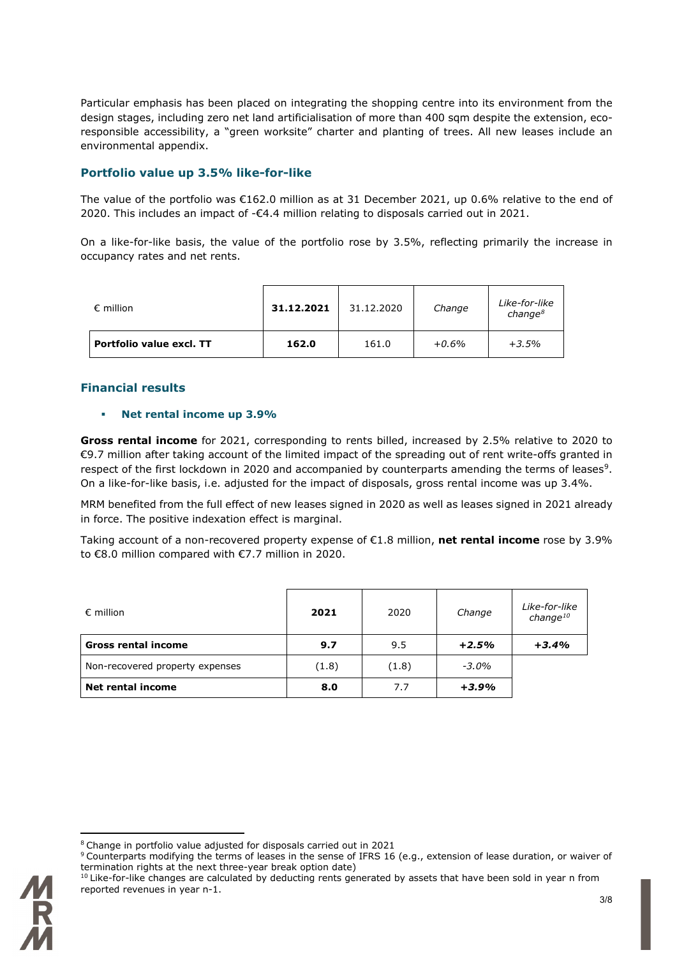Particular emphasis has been placed on integrating the shopping centre into its environment from the design stages, including zero net land artificialisation of more than 400 sqm despite the extension, ecoresponsible accessibility, a "green worksite" charter and planting of trees. All new leases include an environmental appendix.

# **Portfolio value up 3.5% like-for-like**

The value of the portfolio was €162.0 million as at 31 December 2021, up 0.6% relative to the end of 2020. This includes an impact of -€4.4 million relating to disposals carried out in 2021.

On a like-for-like basis, the value of the portfolio rose by 3.5%, reflecting primarily the increase in occupancy rates and net rents.

| $\epsilon$ million              | 31.12.2021 | 31.12.2020 | Change   | Like-for-like<br>change <sup>8</sup> |
|---------------------------------|------------|------------|----------|--------------------------------------|
| <b>Portfolio value excl. TT</b> | 162.0      | 161.0      | $+0.6\%$ | $+3.5%$                              |

#### **Financial results**

#### **Net rental income up 3.9%**

**Gross rental income** for 2021, corresponding to rents billed, increased by 2.5% relative to 2020 to €9.7 million after taking account of the limited impact of the spreading out of rent write-offs granted in respect of the first lockdown in 2020 and accompanied by counterparts amending the terms of leases<sup>[9](#page-2-0)</sup>. On a like-for-like basis, i.e. adjusted for the impact of disposals, gross rental income was up 3.4%.

MRM benefited from the full effect of new leases signed in 2020 as well as leases signed in 2021 already in force. The positive indexation effect is marginal.

Taking account of a non-recovered property expense of €1.8 million, **net rental income** rose by 3.9% to €8.0 million compared with €7.7 million in 2020.

| $\epsilon$ million              | 2021  | 2020  | Change   | Like-for-like<br>change $10$ |
|---------------------------------|-------|-------|----------|------------------------------|
| <b>Gross rental income</b>      | 9.7   | 9.5   | $+2.5%$  | $+3.4%$                      |
| Non-recovered property expenses | (1.8) | (1.8) | $-3.0\%$ |                              |
| <b>Net rental income</b>        | 8.0   | 7.7   | $+3.9%$  |                              |

<sup>&</sup>lt;sup>8</sup> Change in portfolio value adjusted for disposals carried out in 2021

<span id="page-2-2"></span><span id="page-2-1"></span><span id="page-2-0"></span><sup>&</sup>lt;sup>9</sup> Counterparts modifying the terms of leases in the sense of IFRS 16 (e.g., extension of lease duration, or waiver of termination rights at the next three-year break option date)

<sup>&</sup>lt;sup>10</sup> Like-for-like changes are calculated by deducting rents generated by assets that have been sold in year n from reported revenues in year n-1.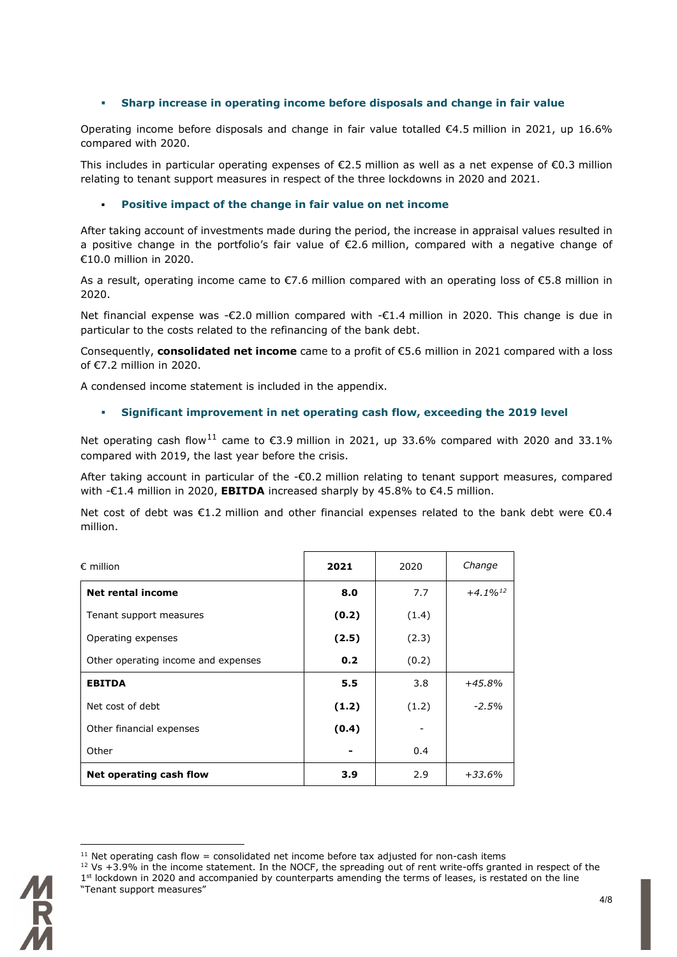#### **Sharp increase in operating income before disposals and change in fair value**

Operating income before disposals and change in fair value totalled €4.5 million in 2021, up 16.6% compared with 2020.

This includes in particular operating expenses of  $\epsilon$ 2.5 million as well as a net expense of  $\epsilon$ 0.3 million relating to tenant support measures in respect of the three lockdowns in 2020 and 2021.

#### **Positive impact of the change in fair value on net income**

After taking account of investments made during the period, the increase in appraisal values resulted in a positive change in the portfolio's fair value of €2.6 million, compared with a negative change of €10.0 million in 2020.

As a result, operating income came to €7.6 million compared with an operating loss of €5.8 million in 2020.

Net financial expense was -€2.0 million compared with -€1.4 million in 2020. This change is due in particular to the costs related to the refinancing of the bank debt.

Consequently, **consolidated net income** came to a profit of €5.6 million in 2021 compared with a loss of €7.2 million in 2020.

A condensed income statement is included in the appendix.

#### **Significant improvement in net operating cash flow, exceeding the 2019 level**

Net operating cash flow<sup>[11](#page-3-0)</sup> came to €3.9 million in 2021, up 33.6% compared with 2020 and 33.1% compared with 2019, the last year before the crisis.

After taking account in particular of the -€0.2 million relating to tenant support measures, compared with -€1.4 million in 2020, **EBITDA** increased sharply by 45.8% to €4.5 million.

Net cost of debt was €1.2 million and other financial expenses related to the bank debt were €0.4 million.

| $\epsilon$ million                  | 2021  | 2020  | Change                 |
|-------------------------------------|-------|-------|------------------------|
| Net rental income                   | 8.0   | 7.7   | $+4.1\%$ <sup>12</sup> |
| Tenant support measures             | (0.2) | (1.4) |                        |
| Operating expenses                  | (2.5) | (2.3) |                        |
| Other operating income and expenses | 0.2   | (0.2) |                        |
| <b>EBITDA</b>                       | 5.5   | 3.8   | $+45.8%$               |
| Net cost of debt                    | (1.2) | (1.2) | $-2.5%$                |
| Other financial expenses            | (0.4) |       |                        |
| Other                               |       | 0.4   |                        |
| Net operating cash flow             | 3.9   | 2.9   | $+33.6%$               |

<span id="page-3-1"></span><span id="page-3-0"></span> $12$  Vs +3.9% in the income statement. In the NOCF, the spreading out of rent write-offs granted in respect of the 1<sup>st</sup> lockdown in 2020 and accompanied by counterparts amending the terms of leases, is restated on the line "Tenant support measures"



 $11$  Net operating cash flow = consolidated net income before tax adjusted for non-cash items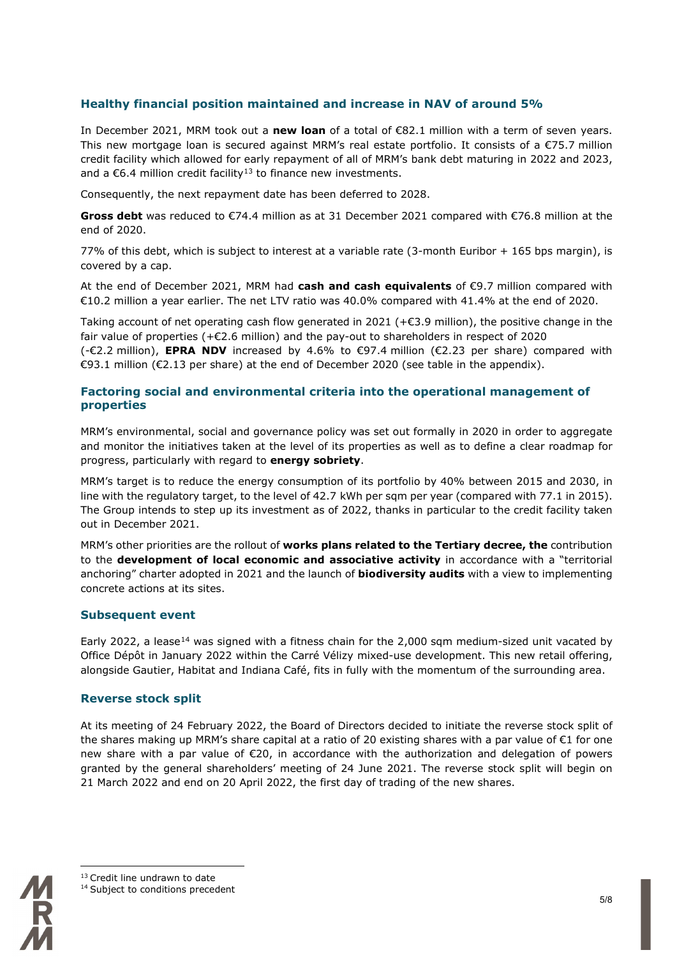#### **Healthy financial position maintained and increase in NAV of around 5%**

In December 2021, MRM took out a **new loan** of a total of €82.1 million with a term of seven years. This new mortgage loan is secured against MRM's real estate portfolio. It consists of a €75.7 million credit facility which allowed for early repayment of all of MRM's bank debt maturing in 2022 and 2023, and a  $\epsilon$ 6.4 million credit facility<sup>[13](#page-4-0)</sup> to finance new investments.

Consequently, the next repayment date has been deferred to 2028.

**Gross debt** was reduced to €74.4 million as at 31 December 2021 compared with €76.8 million at the end of 2020.

77% of this debt, which is subject to interest at a variable rate (3-month Euribor + 165 bps margin), is covered by a cap.

At the end of December 2021, MRM had **cash and cash equivalents** of €9.7 million compared with €10.2 million a year earlier. The net LTV ratio was 40.0% compared with 41.4% at the end of 2020.

Taking account of net operating cash flow generated in 2021 ( $+ \epsilon$ 3.9 million), the positive change in the fair value of properties (+€2.6 million) and the pay-out to shareholders in respect of 2020

(-€2.2 million), **EPRA NDV** increased by 4.6% to €97.4 million (€2.23 per share) compared with €93.1 million (€2.13 per share) at the end of December 2020 (see table in the appendix).

#### **Factoring social and environmental criteria into the operational management of properties**

MRM's environmental, social and governance policy was set out formally in 2020 in order to aggregate and monitor the initiatives taken at the level of its properties as well as to define a clear roadmap for progress, particularly with regard to **energy sobriety**.

MRM's target is to reduce the energy consumption of its portfolio by 40% between 2015 and 2030, in line with the regulatory target, to the level of 42.7 kWh per sqm per year (compared with 77.1 in 2015). The Group intends to step up its investment as of 2022, thanks in particular to the credit facility taken out in December 2021.

MRM's other priorities are the rollout of **works plans related to the Tertiary decree, the** contribution to the **development of local economic and associative activity** in accordance with a "territorial anchoring" charter adopted in 2021 and the launch of **biodiversity audits** with a view to implementing concrete actions at its sites.

#### **Subsequent event**

Early 2022, a lease<sup>[14](#page-4-1)</sup> was signed with a fitness chain for the 2,000 sqm medium-sized unit vacated by Office Dépôt in January 2022 within the Carré Vélizy mixed-use development. This new retail offering, alongside Gautier, Habitat and Indiana Café, fits in fully with the momentum of the surrounding area.

#### **Reverse stock split**

At its meeting of 24 February 2022, the Board of Directors decided to initiate the reverse stock split of the shares making up MRM's share capital at a ratio of 20 existing shares with a par value of €1 for one new share with a par value of €20, in accordance with the authorization and delegation of powers granted by the general shareholders' meeting of 24 June 2021. The reverse stock split will begin on 21 March 2022 and end on 20 April 2022, the first day of trading of the new shares.

<span id="page-4-1"></span><span id="page-4-0"></span>

<sup>&</sup>lt;sup>13</sup> Credit line undrawn to date

<sup>&</sup>lt;sup>14</sup> Subject to conditions precedent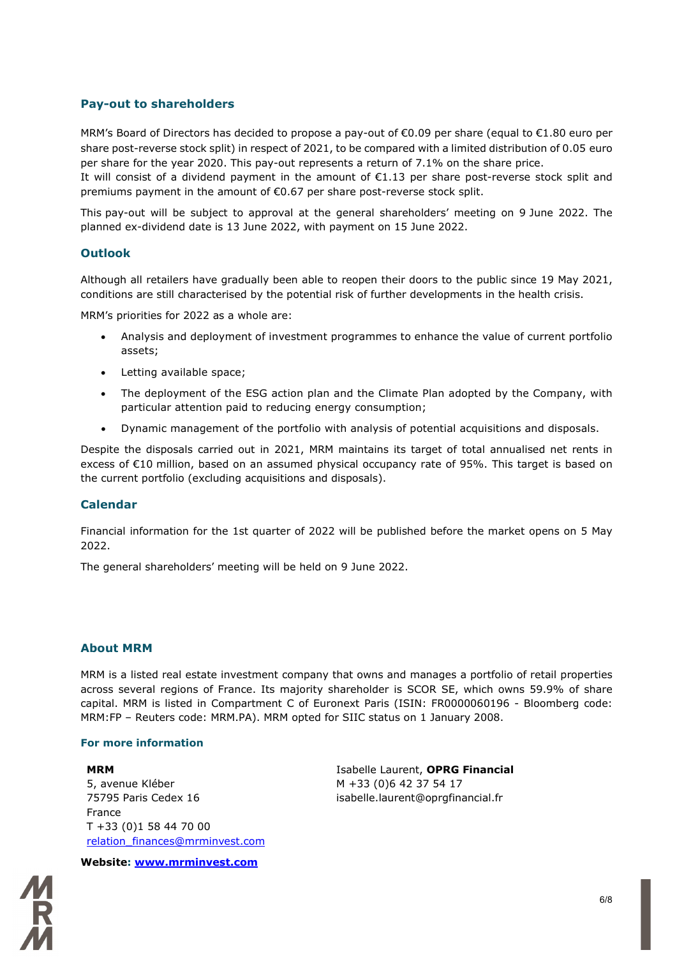#### **Pay-out to shareholders**

MRM's Board of Directors has decided to propose a pay-out of €0.09 per share (equal to €1.80 euro per share post-reverse stock split) in respect of 2021, to be compared with a limited distribution of 0.05 euro per share for the year 2020. This pay-out represents a return of 7.1% on the share price.

It will consist of a dividend payment in the amount of  $E1.13$  per share post-reverse stock split and premiums payment in the amount of €0.67 per share post-reverse stock split.

This pay-out will be subject to approval at the general shareholders' meeting on 9 June 2022. The planned ex-dividend date is 13 June 2022, with payment on 15 June 2022.

#### **Outlook**

Although all retailers have gradually been able to reopen their doors to the public since 19 May 2021, conditions are still characterised by the potential risk of further developments in the health crisis.

MRM's priorities for 2022 as a whole are:

- Analysis and deployment of investment programmes to enhance the value of current portfolio assets;
- Letting available space;
- The deployment of the ESG action plan and the Climate Plan adopted by the Company, with particular attention paid to reducing energy consumption;
- Dynamic management of the portfolio with analysis of potential acquisitions and disposals.

Despite the disposals carried out in 2021, MRM maintains its target of total annualised net rents in excess of €10 million, based on an assumed physical occupancy rate of 95%. This target is based on the current portfolio (excluding acquisitions and disposals).

#### **Calendar**

Financial information for the 1st quarter of 2022 will be published before the market opens on 5 May 2022.

The general shareholders' meeting will be held on 9 June 2022.

#### **About MRM**

MRM is a listed real estate investment company that owns and manages a portfolio of retail properties across several regions of France. Its majority shareholder is SCOR SE, which owns 59.9% of share capital. MRM is listed in Compartment C of Euronext Paris (ISIN: FR0000060196 - Bloomberg code: MRM:FP – Reuters code: MRM.PA). MRM opted for SIIC status on 1 January 2008.

#### **For more information**

#### **MRM** 5, avenue Kléber 75795 Paris Cedex 16 France T +33 (0)1 58 44 70 00 [relation\\_finances@mrminvest.com](mailto:relation_finances@mrminvest.com)

Isabelle Laurent, **OPRG Financial** M +33 (0)6 42 37 54 17 isabelle.laurent@oprgfinancial.fr

**Website: [www.mrminvest.com](http://www.mrminvest.com/)**

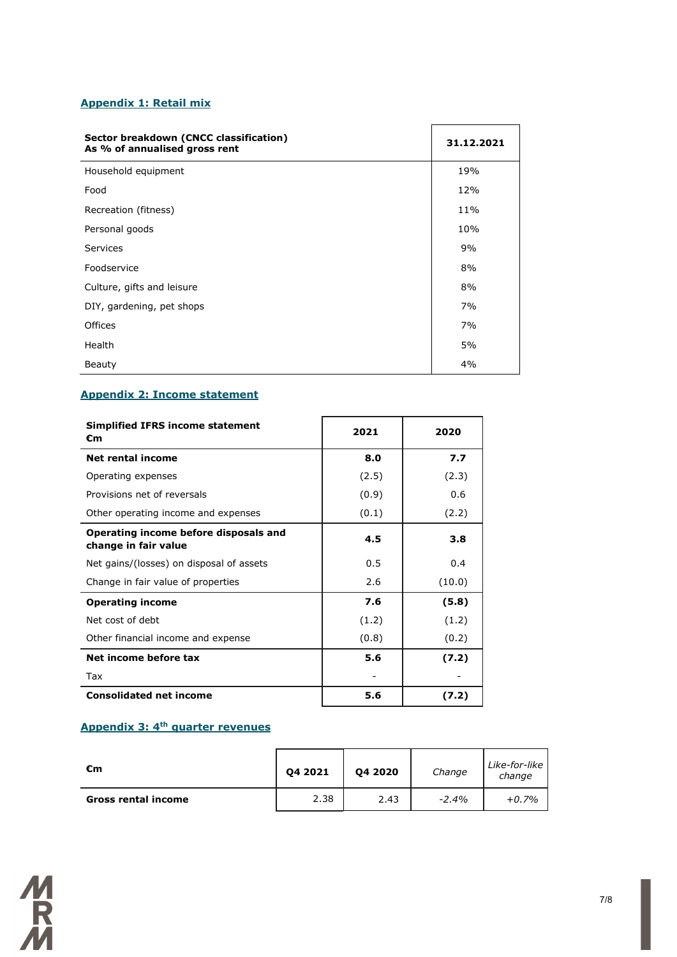#### **Appendix 1: Retail mix**

| Sector breakdown (CNCC classification)<br>As % of annualised gross rent | 31.12.2021 |  |
|-------------------------------------------------------------------------|------------|--|
| Household equipment                                                     | 19%        |  |
| Food                                                                    | 12%        |  |
| Recreation (fitness)                                                    | 11%        |  |
| Personal goods                                                          | 10%        |  |
| Services                                                                | 9%         |  |
| Foodservice                                                             | 8%         |  |
| Culture, gifts and leisure                                              | 8%         |  |
| DIY, gardening, pet shops                                               | 7%         |  |
| Offices                                                                 | 7%         |  |
| Health                                                                  | 5%         |  |
| Beauty                                                                  | 4%         |  |

# **Appendix 2: Income statement**

| <b>Simplified IFRS income statement</b><br>€m                 | 2021  | 2020   |  |
|---------------------------------------------------------------|-------|--------|--|
| <b>Net rental income</b>                                      | 8.0   | 7.7    |  |
| Operating expenses                                            | (2.5) | (2.3)  |  |
| Provisions net of reversals                                   | (0.9) | 0.6    |  |
| Other operating income and expenses                           | (0.1) | (2.2)  |  |
| Operating income before disposals and<br>change in fair value | 4.5   | 3.8    |  |
| Net gains/(losses) on disposal of assets                      | 0.5   | 0.4    |  |
| Change in fair value of properties                            | 2.6   | (10.0) |  |
| <b>Operating income</b>                                       | 7.6   | (5.8)  |  |
| Net cost of debt                                              | (1.2) | (1.2)  |  |
| Other financial income and expense                            | (0.8) | (0.2)  |  |
| Net income before tax                                         | 5.6   | (7.2)  |  |
| Tax                                                           |       |        |  |
| <b>Consolidated net income</b>                                | 5.6   | (7.2)  |  |

# **Appendix 3: 4th quarter revenues**

| €m                         | 04 20 20<br>04 2021 |      | Change  | Like-for-like  <br>change |
|----------------------------|---------------------|------|---------|---------------------------|
| <b>Gross rental income</b> | 2.38                | 2.43 | $-2.4%$ | $+0.7%$                   |